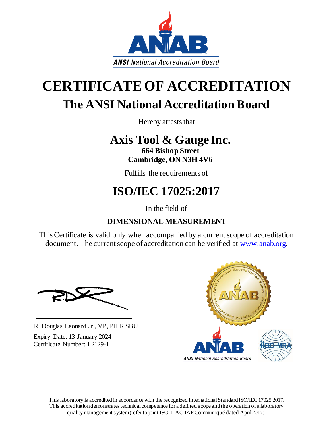

# **CERTIFICATEOF ACCREDITATION The ANSI National Accreditation Board**

Hereby attests that

## **Axis Tool & Gauge Inc.**

**664 Bishop Street Cambridge, ON N3H 4V6** 

Fulfills the requirements of

## **ISO/IEC 17025:2017**

In the field of

### **DIMENSIONAL MEASUREMENT**

This Certificate is valid only when accompanied by a current scope of accreditation document. The current scope of accreditation can be verified at [www.anab.org.](http://www.anab.org/)

R. Douglas Leonard Jr., VP, PILR SBU

Expiry Date: 13 January 2024 Certificate Number: L2129-1



This laboratory is accredited in accordance with the recognized International Standard ISO/IEC 17025:2017. This accreditation demonstrates technical competence for a defined scope and the operation of a laboratory quality management system (refer to joint ISO-ILAC-IAF Communiqué dated April 2017).